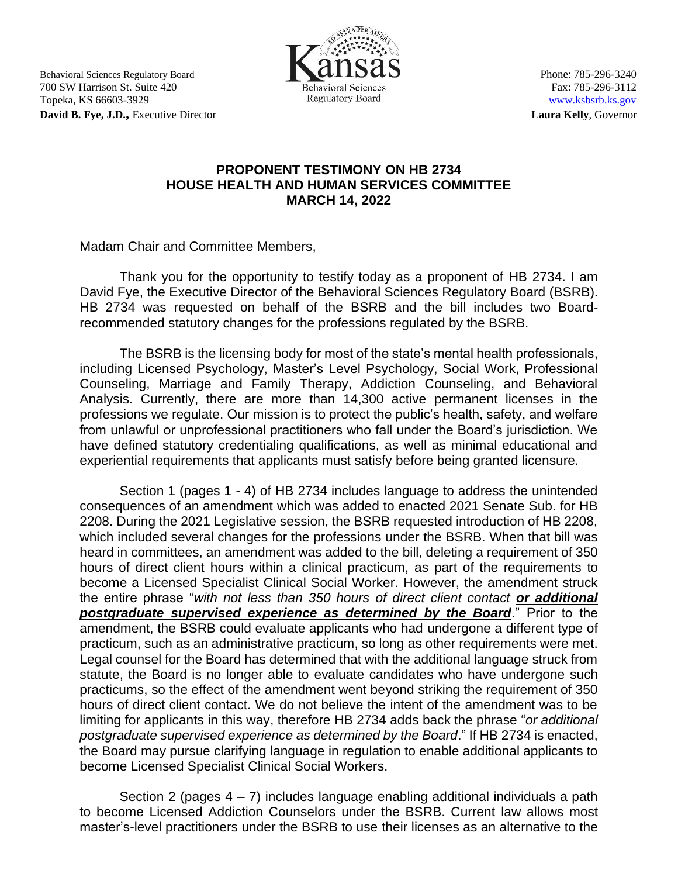Behavioral Sciences Regulatory Board **Phone: 785-296-3240** Phone: 785-296-3240 700 SW Harrison St. Suite 420 Behavioral Sciences Fax: 785-296-3112<br>
Topeka, KS 66603-3929 Regulatory Board WWW.ksbsrb.ks.gov Topeka, KS 66603-3929

**David B. Fye, J.D.,** Executive Director **Laura Kelly**, Governor



## **PROPONENT TESTIMONY ON HB 2734 HOUSE HEALTH AND HUMAN SERVICES COMMITTEE MARCH 14, 2022**

Madam Chair and Committee Members,

Thank you for the opportunity to testify today as a proponent of HB 2734. I am David Fye, the Executive Director of the Behavioral Sciences Regulatory Board (BSRB). HB 2734 was requested on behalf of the BSRB and the bill includes two Boardrecommended statutory changes for the professions regulated by the BSRB.

The BSRB is the licensing body for most of the state's mental health professionals, including Licensed Psychology, Master's Level Psychology, Social Work, Professional Counseling, Marriage and Family Therapy, Addiction Counseling, and Behavioral Analysis. Currently, there are more than 14,300 active permanent licenses in the professions we regulate. Our mission is to protect the public's health, safety, and welfare from unlawful or unprofessional practitioners who fall under the Board's jurisdiction. We have defined statutory credentialing qualifications, as well as minimal educational and experiential requirements that applicants must satisfy before being granted licensure.

Section 1 (pages 1 - 4) of HB 2734 includes language to address the unintended consequences of an amendment which was added to enacted 2021 Senate Sub. for HB 2208. During the 2021 Legislative session, the BSRB requested introduction of HB 2208, which included several changes for the professions under the BSRB. When that bill was heard in committees, an amendment was added to the bill, deleting a requirement of 350 hours of direct client hours within a clinical practicum, as part of the requirements to become a Licensed Specialist Clinical Social Worker. However, the amendment struck the entire phrase "*with not less than 350 hours of direct client contact or additional postgraduate supervised experience as determined by the Board*." Prior to the amendment, the BSRB could evaluate applicants who had undergone a different type of practicum, such as an administrative practicum, so long as other requirements were met. Legal counsel for the Board has determined that with the additional language struck from statute, the Board is no longer able to evaluate candidates who have undergone such practicums, so the effect of the amendment went beyond striking the requirement of 350 hours of direct client contact. We do not believe the intent of the amendment was to be limiting for applicants in this way, therefore HB 2734 adds back the phrase "*or additional postgraduate supervised experience as determined by the Board*." If HB 2734 is enacted, the Board may pursue clarifying language in regulation to enable additional applicants to become Licensed Specialist Clinical Social Workers.

Section 2 (pages  $4 - 7$ ) includes language enabling additional individuals a path to become Licensed Addiction Counselors under the BSRB. Current law allows most master's-level practitioners under the BSRB to use their licenses as an alternative to the